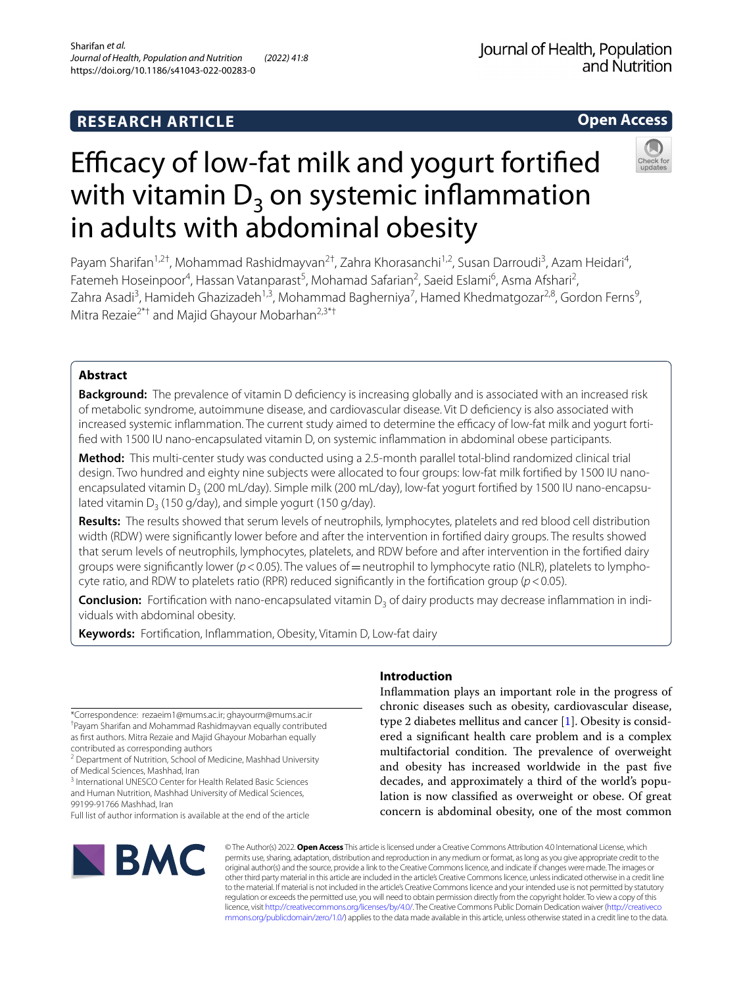# **RESEARCH ARTICLE**

# **Open Access**



# Efficacy of low-fat milk and yogurt fortified with vitamin  $D_3$  on systemic inflammation in adults with abdominal obesity

Payam Sharifan<sup>1,2†</sup>, Mohammad Rashidmayvan<sup>2†</sup>, Zahra Khorasanchi<sup>1,2</sup>, Susan Darroudi<sup>3</sup>, Azam Heidari<sup>4</sup>, Fatemeh Hoseinpoor<sup>4</sup>, Hassan Vatanparast<sup>5</sup>, Mohamad Safarian<sup>2</sup>, Saeid Eslami<sup>6</sup>, Asma Afshari<sup>2</sup>, Zahra Asadi<sup>3</sup>, Hamideh Ghazizadeh<sup>1,3</sup>, Mohammad Bagherniya<sup>7</sup>, Hamed Khedmatgozar<sup>2,8</sup>, Gordon Ferns<sup>9</sup>, Mitra Rezaie<sup>2\*†</sup> and Majid Ghayour Mobarhan<sup>2,3\*†</sup>

### **Abstract**

**Background:** The prevalence of vitamin D defciency is increasing globally and is associated with an increased risk of metabolic syndrome, autoimmune disease, and cardiovascular disease. Vit D defciency is also associated with increased systemic inflammation. The current study aimed to determine the efficacy of low-fat milk and yogurt fortifed with 1500 IU nano-encapsulated vitamin D, on systemic infammation in abdominal obese participants.

**Method:** This multi-center study was conducted using a 2.5-month parallel total-blind randomized clinical trial design. Two hundred and eighty nine subjects were allocated to four groups: low-fat milk fortifed by 1500 IU nanoencapsulated vitamin D<sub>3</sub> (200 mL/day). Simple milk (200 mL/day), low-fat yogurt fortified by 1500 IU nano-encapsulated vitamin  $D_3$  (150 g/day), and simple yogurt (150 g/day).

**Results:** The results showed that serum levels of neutrophils, lymphocytes, platelets and red blood cell distribution width (RDW) were signifcantly lower before and after the intervention in fortifed dairy groups. The results showed that serum levels of neutrophils, lymphocytes, platelets, and RDW before and after intervention in the fortifed dairy groups were significantly lower ( $p < 0.05$ ). The values of = neutrophil to lymphocyte ratio (NLR), platelets to lymphocyte ratio, and RDW to platelets ratio (RPR) reduced signifcantly in the fortifcation group (*p*<0.05).

**Conclusion:** Fortification with nano-encapsulated vitamin D<sub>3</sub> of dairy products may decrease inflammation in individuals with abdominal obesity.

**Keywords:** Fortifcation, Infammation, Obesity, Vitamin D, Low-fat dairy

\*Correspondence: rezaeim1@mums.ac.ir; ghayourm@mums.ac.ir † Payam Sharifan and Mohammad Rashidmayvan equally contributed as frst authors. Mitra Rezaie and Majid Ghayour Mobarhan equally contributed as corresponding authors

<sup>2</sup> Department of Nutrition, School of Medicine, Mashhad University of Medical Sciences, Mashhad, Iran

<sup>3</sup> International UNESCO Center for Health Related Basic Sciences and Human Nutrition, Mashhad University of Medical Sciences, 99199-91766 Mashhad, Iran

Full list of author information is available at the end of the article



## **Introduction**

Infammation plays an important role in the progress of chronic diseases such as obesity, cardiovascular disease, type 2 diabetes mellitus and cancer [[1\]](#page-6-0). Obesity is considered a signifcant health care problem and is a complex multifactorial condition. The prevalence of overweight and obesity has increased worldwide in the past fve decades, and approximately a third of the world's population is now classifed as overweight or obese. Of great concern is abdominal obesity, one of the most common

© The Author(s) 2022. **Open Access** This article is licensed under a Creative Commons Attribution 4.0 International License, which permits use, sharing, adaptation, distribution and reproduction in any medium or format, as long as you give appropriate credit to the original author(s) and the source, provide a link to the Creative Commons licence, and indicate if changes were made. The images or other third party material in this article are included in the article's Creative Commons licence, unless indicated otherwise in a credit line to the material. If material is not included in the article's Creative Commons licence and your intended use is not permitted by statutory regulation or exceeds the permitted use, you will need to obtain permission directly from the copyright holder. To view a copy of this licence, visit [http://creativecommons.org/licenses/by/4.0/.](http://creativecommons.org/licenses/by/4.0/) The Creative Commons Public Domain Dedication waiver ([http://creativeco](http://creativecommons.org/publicdomain/zero/1.0/) [mmons.org/publicdomain/zero/1.0/](http://creativecommons.org/publicdomain/zero/1.0/)) applies to the data made available in this article, unless otherwise stated in a credit line to the data.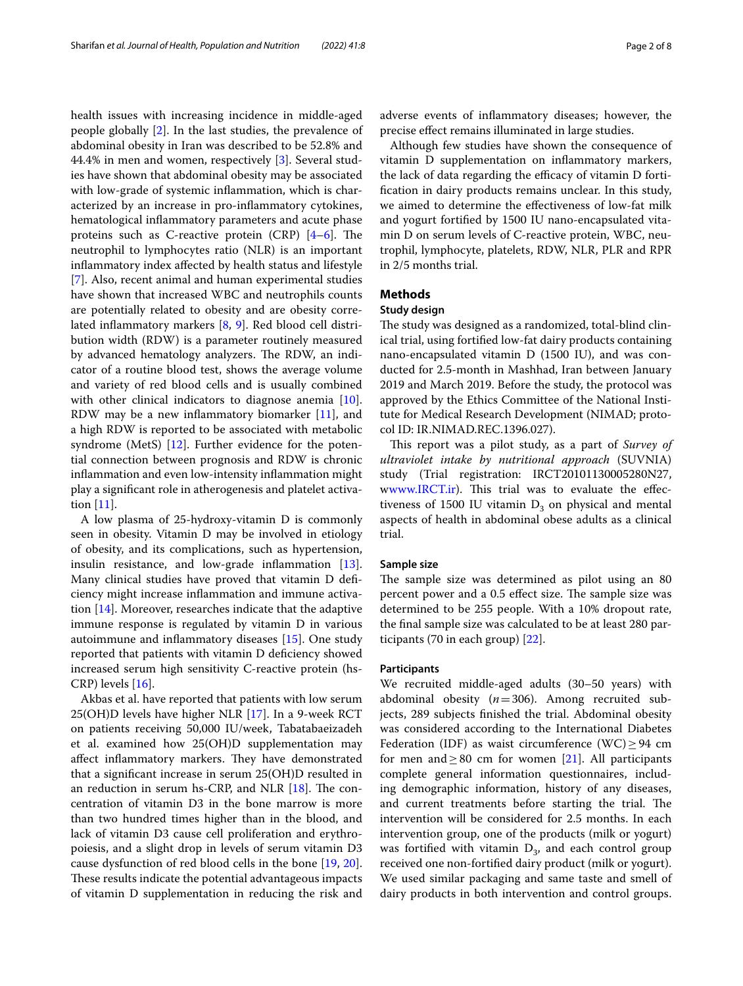health issues with increasing incidence in middle-aged people globally [\[2](#page-6-1)]. In the last studies, the prevalence of abdominal obesity in Iran was described to be 52.8% and 44.4% in men and women, respectively [[3\]](#page-6-2). Several studies have shown that abdominal obesity may be associated with low-grade of systemic infammation, which is characterized by an increase in pro-infammatory cytokines, hematological infammatory parameters and acute phase proteins such as C-reactive protein (CRP)  $[4-6]$  $[4-6]$ . The neutrophil to lymphocytes ratio (NLR) is an important infammatory index afected by health status and lifestyle [[7\]](#page-6-5). Also, recent animal and human experimental studies have shown that increased WBC and neutrophils counts are potentially related to obesity and are obesity correlated infammatory markers [[8](#page-6-6), [9\]](#page-6-7). Red blood cell distribution width (RDW) is a parameter routinely measured by advanced hematology analyzers. The RDW, an indicator of a routine blood test, shows the average volume and variety of red blood cells and is usually combined with other clinical indicators to diagnose anemia [\[10](#page-6-8)]. RDW may be a new infammatory biomarker [\[11](#page-6-9)], and a high RDW is reported to be associated with metabolic syndrome (MetS)  $[12]$  $[12]$ . Further evidence for the potential connection between prognosis and RDW is chronic infammation and even low-intensity infammation might play a signifcant role in atherogenesis and platelet activation [[11\]](#page-6-9).

A low plasma of 25-hydroxy-vitamin D is commonly seen in obesity. Vitamin D may be involved in etiology of obesity, and its complications, such as hypertension, insulin resistance, and low-grade infammation [\[13](#page-6-11)]. Many clinical studies have proved that vitamin D defciency might increase infammation and immune activation [[14\]](#page-6-12). Moreover, researches indicate that the adaptive immune response is regulated by vitamin D in various autoimmune and infammatory diseases [\[15\]](#page-6-13). One study reported that patients with vitamin D defciency showed increased serum high sensitivity C-reactive protein (hs-CRP) levels [[16\]](#page-6-14).

Akbas et al. have reported that patients with low serum 25(OH)D levels have higher NLR [[17\]](#page-6-15). In a 9-week RCT on patients receiving 50,000 IU/week, Tabatabaeizadeh et al. examined how 25(OH)D supplementation may affect inflammatory markers. They have demonstrated that a signifcant increase in serum 25(OH)D resulted in an reduction in serum hs-CRP, and NLR  $[18]$  $[18]$ . The concentration of vitamin D3 in the bone marrow is more than two hundred times higher than in the blood, and lack of vitamin D3 cause cell proliferation and erythropoiesis, and a slight drop in levels of serum vitamin D3 cause dysfunction of red blood cells in the bone [\[19](#page-6-17), [20](#page-6-18)]. These results indicate the potential advantageous impacts of vitamin D supplementation in reducing the risk and adverse events of infammatory diseases; however, the precise efect remains illuminated in large studies.

Although few studies have shown the consequence of vitamin D supplementation on infammatory markers, the lack of data regarding the efficacy of vitamin D fortifcation in dairy products remains unclear. In this study, we aimed to determine the efectiveness of low-fat milk and yogurt fortifed by 1500 IU nano-encapsulated vitamin D on serum levels of C-reactive protein, WBC, neutrophil, lymphocyte, platelets, RDW, NLR, PLR and RPR in 2/5 months trial.

#### **Methods**

#### **Study design**

The study was designed as a randomized, total-blind clinical trial, using fortifed low-fat dairy products containing nano-encapsulated vitamin D (1500 IU), and was conducted for 2.5-month in Mashhad, Iran between January 2019 and March 2019. Before the study, the protocol was approved by the Ethics Committee of the National Institute for Medical Research Development (NIMAD; protocol ID: IR.NIMAD.REC.1396.027).

This report was a pilot study, as a part of *Survey of ultraviolet intake by nutritional approach* (SUVNIA) study (Trial registration: IRCT20101130005280N27, [www.IRCT.ir](http://www.IRCT.ir)). This trial was to evaluate the effectiveness of 1500 IU vitamin  $D_3$  on physical and mental aspects of health in abdominal obese adults as a clinical trial.

#### **Sample size**

The sample size was determined as pilot using an 80 percent power and a 0.5 effect size. The sample size was determined to be 255 people. With a 10% dropout rate, the fnal sample size was calculated to be at least 280 participants (70 in each group) [\[22\]](#page-6-19).

#### **Participants**

We recruited middle-aged adults (30–50 years) with abdominal obesity (*n*=306). Among recruited subjects, 289 subjects fnished the trial. Abdominal obesity was considered according to the International Diabetes Federation (IDF) as waist circumference (WC)  $\geq$  94 cm for men and  $\geq 80$  cm for women [[21](#page-6-20)]. All participants complete general information questionnaires, including demographic information, history of any diseases, and current treatments before starting the trial. The intervention will be considered for 2.5 months. In each intervention group, one of the products (milk or yogurt) was fortified with vitamin  $D_3$ , and each control group received one non-fortifed dairy product (milk or yogurt). We used similar packaging and same taste and smell of dairy products in both intervention and control groups.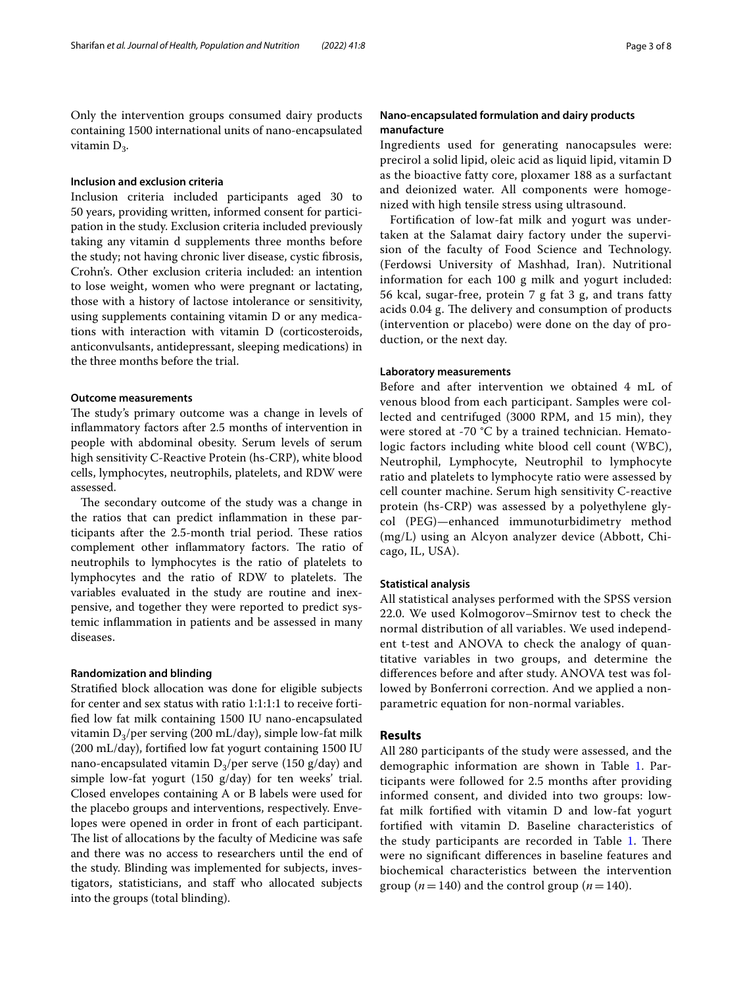Only the intervention groups consumed dairy products containing 1500 international units of nano-encapsulated vitamin  $D_3$ .

#### **Inclusion and exclusion criteria**

Inclusion criteria included participants aged 30 to 50 years, providing written, informed consent for participation in the study. Exclusion criteria included previously taking any vitamin d supplements three months before the study; not having chronic liver disease, cystic fbrosis, Crohn's. Other exclusion criteria included: an intention to lose weight, women who were pregnant or lactating, those with a history of lactose intolerance or sensitivity, using supplements containing vitamin D or any medications with interaction with vitamin D (corticosteroids, anticonvulsants, antidepressant, sleeping medications) in the three months before the trial.

#### **Outcome measurements**

The study's primary outcome was a change in levels of infammatory factors after 2.5 months of intervention in people with abdominal obesity. Serum levels of serum high sensitivity C-Reactive Protein (hs-CRP), white blood cells, lymphocytes, neutrophils, platelets, and RDW were assessed.

The secondary outcome of the study was a change in the ratios that can predict infammation in these participants after the 2.5-month trial period. These ratios complement other inflammatory factors. The ratio of neutrophils to lymphocytes is the ratio of platelets to lymphocytes and the ratio of RDW to platelets. The variables evaluated in the study are routine and inexpensive, and together they were reported to predict systemic infammation in patients and be assessed in many diseases.

#### **Randomization and blinding**

Stratifed block allocation was done for eligible subjects for center and sex status with ratio 1:1:1:1 to receive fortifed low fat milk containing 1500 IU nano-encapsulated vitamin  $D_3$ /per serving (200 mL/day), simple low-fat milk (200 mL/day), fortifed low fat yogurt containing 1500 IU nano-encapsulated vitamin  $D_3$ /per serve (150 g/day) and simple low-fat yogurt (150 g/day) for ten weeks' trial. Closed envelopes containing A or B labels were used for the placebo groups and interventions, respectively. Envelopes were opened in order in front of each participant. The list of allocations by the faculty of Medicine was safe and there was no access to researchers until the end of the study. Blinding was implemented for subjects, investigators, statisticians, and staf who allocated subjects into the groups (total blinding).

#### **Nano‑encapsulated formulation and dairy products manufacture**

Ingredients used for generating nanocapsules were: precirol a solid lipid, oleic acid as liquid lipid, vitamin D as the bioactive fatty core, ploxamer 188 as a surfactant and deionized water. All components were homogenized with high tensile stress using ultrasound.

Fortifcation of low-fat milk and yogurt was undertaken at the Salamat dairy factory under the supervision of the faculty of Food Science and Technology. (Ferdowsi University of Mashhad, Iran). Nutritional information for each 100 g milk and yogurt included: 56 kcal, sugar-free, protein 7 g fat 3 g, and trans fatty acids 0.04 g. The delivery and consumption of products (intervention or placebo) were done on the day of production, or the next day.

#### **Laboratory measurements**

Before and after intervention we obtained 4 mL of venous blood from each participant. Samples were collected and centrifuged (3000 RPM, and 15 min), they were stored at -70 °C by a trained technician. Hematologic factors including white blood cell count (WBC), Neutrophil, Lymphocyte, Neutrophil to lymphocyte ratio and platelets to lymphocyte ratio were assessed by cell counter machine. Serum high sensitivity C-reactive protein (hs-CRP) was assessed by a polyethylene glycol (PEG)—enhanced immunoturbidimetry method (mg/L) using an Alcyon analyzer device (Abbott, Chicago, IL, USA).

#### **Statistical analysis**

All statistical analyses performed with the SPSS version 22.0. We used Kolmogorov–Smirnov test to check the normal distribution of all variables. We used independent t-test and ANOVA to check the analogy of quantitative variables in two groups, and determine the diferences before and after study. ANOVA test was followed by Bonferroni correction. And we applied a nonparametric equation for non-normal variables.

#### **Results**

All 280 participants of the study were assessed, and the demographic information are shown in Table [1](#page-3-0). Participants were followed for 2.5 months after providing informed consent, and divided into two groups: lowfat milk fortifed with vitamin D and low-fat yogurt fortifed with vitamin D. Baseline characteristics of the study participants are recorded in Table [1](#page-3-0). There were no signifcant diferences in baseline features and biochemical characteristics between the intervention group ( $n = 140$ ) and the control group ( $n = 140$ ).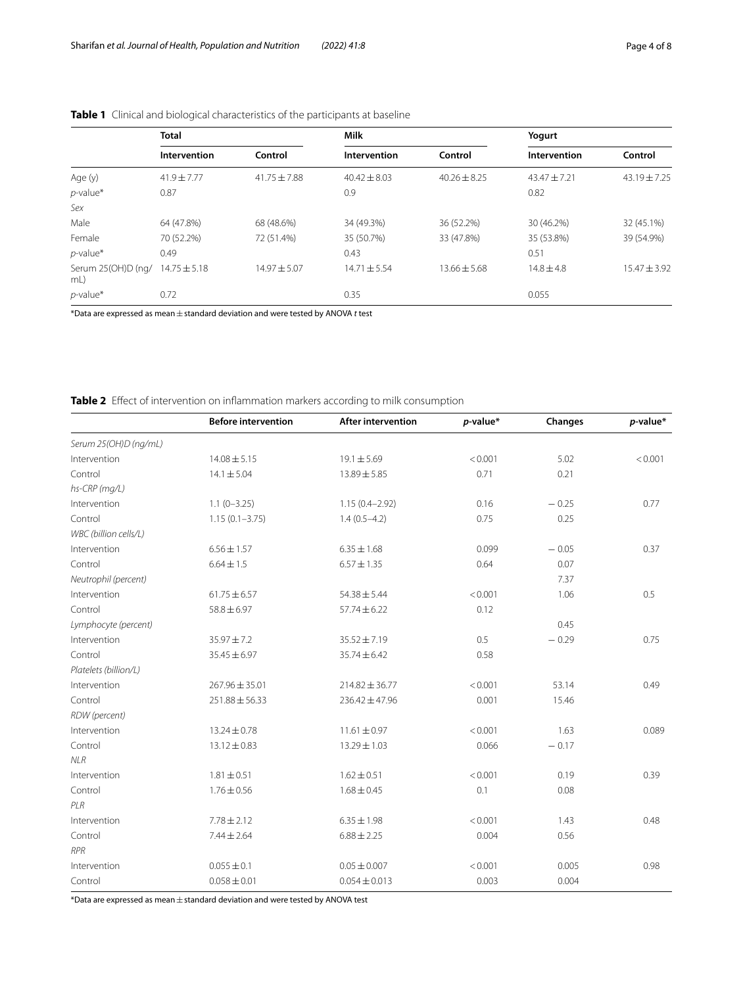|                          | <b>Total</b>     |                  | <b>Milk</b>      |                  | Yogurt         |                  |
|--------------------------|------------------|------------------|------------------|------------------|----------------|------------------|
|                          | Intervention     | Control          | Intervention     | Control          | Intervention   | Control          |
| Age (y)                  | $41.9 + 7.77$    | $41.75 \pm 7.88$ | $40.42 + 8.03$   | $40.26 \pm 8.25$ | $43.47 + 7.21$ | $43.19 + 7.25$   |
| $p$ -value*              | 0.87             |                  | 0.9              |                  | 0.82           |                  |
| Sex                      |                  |                  |                  |                  |                |                  |
| Male                     | 64 (47.8%)       | 68 (48.6%)       | 34 (49.3%)       | 36 (52.2%)       | 30 (46.2%)     | 32 (45.1%)       |
| Female                   | 70 (52.2%)       | 72 (51.4%)       | 35 (50.7%)       | 33 (47.8%)       | 35 (53.8%)     | 39 (54.9%)       |
| $p$ -value*              | 0.49             |                  | 0.43             |                  | 0.51           |                  |
| Serum 25(OH)D (ng/<br>mL | $14.75 \pm 5.18$ | $14.97 \pm 5.07$ | $14.71 \pm 5.54$ | $13.66 \pm 5.68$ | $14.8 + 4.8$   | $15.47 \pm 3.92$ |
| $p$ -value*              | 0.72             |                  | 0.35             |                  | 0.055          |                  |

#### <span id="page-3-0"></span>**Table 1** Clinical and biological characteristics of the participants at baseline

\*Data are expressed as mean±standard deviation and were tested by ANOVA *t* test

#### <span id="page-3-1"></span>**Table 2** Efect of intervention on infammation markers according to milk consumption

|                       | <b>Before intervention</b> | <b>After intervention</b> | $p$ -value* | Changes | $p$ -value* |
|-----------------------|----------------------------|---------------------------|-------------|---------|-------------|
| Serum 25(OH)D (ng/mL) |                            |                           |             |         |             |
| Intervention          | $14.08 \pm 5.15$           | $19.1 \pm 5.69$           | < 0.001     | 5.02    | < 0.001     |
| Control               | $14.1 \pm 5.04$            | 13.89 ± 5.85              | 0.71        | 0.21    |             |
| hs-CRP (mg/L)         |                            |                           |             |         |             |
| Intervention          | $1.1(0-3.25)$              | $1.15(0.4 - 2.92)$        | 0.16        | $-0.25$ | 0.77        |
| Control               | $1.15(0.1 - 3.75)$         | $1.4(0.5-4.2)$            | 0.75        | 0.25    |             |
| WBC (billion cells/L) |                            |                           |             |         |             |
| Intervention          | $6.56 \pm 1.57$            | $6.35 \pm 1.68$           | 0.099       | $-0.05$ | 0.37        |
| Control               | $6.64 \pm 1.5$             | $6.57 \pm 1.35$           | 0.64        | 0.07    |             |
| Neutrophil (percent)  |                            |                           |             | 7.37    |             |
| Intervention          | $61.75 \pm 6.57$           | $54.38 \pm 5.44$          | < 0.001     | 1.06    | 0.5         |
| Control               | $58.8 \pm 6.97$            | $57.74 \pm 6.22$          | 0.12        |         |             |
| Lymphocyte (percent)  |                            |                           |             | 0.45    |             |
| Intervention          | $35.97 \pm 7.2$            | $35.52 \pm 7.19$          | 0.5         | $-0.29$ | 0.75        |
| Control               | $35.45 \pm 6.97$           | 35.74±6.42                | 0.58        |         |             |
| Platelets (billion/L) |                            |                           |             |         |             |
| Intervention          | $267.96 \pm 35.01$         | $214.82 \pm 36.77$        | < 0.001     | 53.14   | 0.49        |
| Control               | $251.88 \pm 56.33$         | $236.42 \pm 47.96$        | 0.001       | 15.46   |             |
| RDW (percent)         |                            |                           |             |         |             |
| Intervention          | $13.24 \pm 0.78$           | $11.61 \pm 0.97$          | < 0.001     | 1.63    | 0.089       |
| Control               | $13.12 \pm 0.83$           | 13.29 ± 1.03              | 0.066       | $-0.17$ |             |
| $N\!L R$              |                            |                           |             |         |             |
| Intervention          | $1.81 \pm 0.51$            | $1.62 \pm 0.51$           | < 0.001     | 0.19    | 0.39        |
| Control               | $1.76 \pm 0.56$            | $1.68 \pm 0.45$           | 0.1         | 0.08    |             |
| PLR                   |                            |                           |             |         |             |
| Intervention          | $7.78 \pm 2.12$            | $6.35 \pm 1.98$           | < 0.001     | 1.43    | 0.48        |
| Control               | $7.44 \pm 2.64$            | $6.88 \pm 2.25$           | 0.004       | 0.56    |             |
| <b>RPR</b>            |                            |                           |             |         |             |
| Intervention          | $0.055 \pm 0.1$            | $0.05 \pm 0.007$          | < 0.001     | 0.005   | 0.98        |
| Control               | $0.058 \pm 0.01$           | $0.054 \pm 0.013$         | 0.003       | 0.004   |             |

 $*$ Data are expressed as mean  $\pm$  standard deviation and were tested by ANOVA test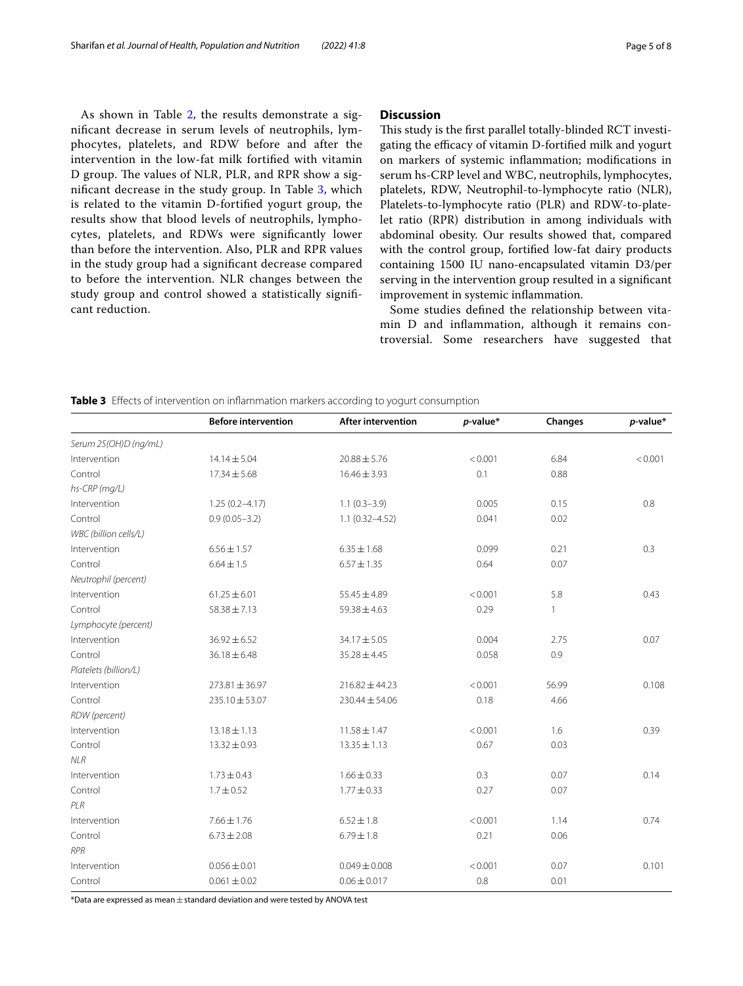As shown in Table [2,](#page-3-1) the results demonstrate a signifcant decrease in serum levels of neutrophils, lymphocytes, platelets, and RDW before and after the intervention in the low-fat milk fortifed with vitamin D group. The values of NLR, PLR, and RPR show a signifcant decrease in the study group. In Table [3,](#page-4-0) which is related to the vitamin D-fortifed yogurt group, the results show that blood levels of neutrophils, lymphocytes, platelets, and RDWs were signifcantly lower than before the intervention. Also, PLR and RPR values in the study group had a signifcant decrease compared to before the intervention. NLR changes between the study group and control showed a statistically signifcant reduction.

#### **Discussion**

This study is the first parallel totally-blinded RCT investigating the efficacy of vitamin D-fortified milk and yogurt on markers of systemic infammation; modifcations in serum hs-CRP level and WBC, neutrophils, lymphocytes, platelets, RDW, Neutrophil-to-lymphocyte ratio (NLR), Platelets-to-lymphocyte ratio (PLR) and RDW-to-platelet ratio (RPR) distribution in among individuals with abdominal obesity. Our results showed that, compared with the control group, fortifed low-fat dairy products containing 1500 IU nano-encapsulated vitamin D3/per serving in the intervention group resulted in a signifcant improvement in systemic infammation.

Some studies defned the relationship between vitamin D and infammation, although it remains controversial. Some researchers have suggested that

<span id="page-4-0"></span>

| Table 3 Effects of intervention on inflammation markers according to yogurt consumption |  |  |
|-----------------------------------------------------------------------------------------|--|--|
|                                                                                         |  |  |

|                       | <b>Before intervention</b> | <b>After intervention</b> | $p$ -value* | Changes      | $p$ -value* |
|-----------------------|----------------------------|---------------------------|-------------|--------------|-------------|
|                       |                            |                           |             |              |             |
| Serum 25(OH)D (ng/mL) |                            |                           |             |              |             |
| Intervention          | $14.14 \pm 5.04$           | $20.88 \pm 5.76$          | < 0.001     | 6.84         | < 0.001     |
| Control               | $17.34 \pm 5.68$           | $16.46 \pm 3.93$          | 0.1         | 0.88         |             |
| hs-CRP (mg/L)         |                            |                           |             |              |             |
| Intervention          | $1.25(0.2 - 4.17)$         | $1.1(0.3-3.9)$            | 0.005       | 0.15         | 0.8         |
| Control               | $0.9(0.05 - 3.2)$          | $1.1(0.32 - 4.52)$        | 0.041       | 0.02         |             |
| WBC (billion cells/L) |                            |                           |             |              |             |
| Intervention          | $6.56 \pm 1.57$            | $6.35 \pm 1.68$           | 0.099       | 0.21         | 0.3         |
| Control               | $6.64 \pm 1.5$             | $6.57 \pm 1.35$           | 0.64        | 0.07         |             |
| Neutrophil (percent)  |                            |                           |             |              |             |
| Intervention          | $61.25 \pm 6.01$           | $55.45 \pm 4.89$          | < 0.001     | 5.8          | 0.43        |
| Control               | $58.38 \pm 7.13$           | $59.38 \pm 4.63$          | 0.29        | $\mathbf{1}$ |             |
| Lymphocyte (percent)  |                            |                           |             |              |             |
| Intervention          | $36.92 \pm 6.52$           | $34.17 \pm 5.05$          | 0.004       | 2.75         | 0.07        |
| Control               | $36.18 \pm 6.48$           | $35.28 \pm 4.45$          | 0.058       | 0.9          |             |
| Platelets (billion/L) |                            |                           |             |              |             |
| Intervention          | $273.81 \pm 36.97$         | $216.82 \pm 44.23$        | < 0.001     | 56.99        | 0.108       |
| Control               | 235.10 ± 53.07             | $230.44 \pm 54.06$        | 0.18        | 4.66         |             |
| RDW (percent)         |                            |                           |             |              |             |
| Intervention          | $13.18 \pm 1.13$           | $11.58 \pm 1.47$          | < 0.001     | 1.6          | 0.39        |
| Control               | $13.32 \pm 0.93$           | $13.35 \pm 1.13$          | 0.67        | 0.03         |             |
| NLR                   |                            |                           |             |              |             |
| Intervention          | $1.73 \pm 0.43$            | $1.66 \pm 0.33$           | 0.3         | 0.07         | 0.14        |
| Control               | $1.7 \pm 0.52$             | $1.77 \pm 0.33$           | 0.27        | 0.07         |             |
| PLR                   |                            |                           |             |              |             |
| Intervention          | $7.66 \pm 1.76$            | $6.52 \pm 1.8$            | < 0.001     | 1.14         | 0.74        |
| Control               | $6.73 \pm 2.08$            | $6.79 \pm 1.8$            | 0.21        | 0.06         |             |
| <b>RPR</b>            |                            |                           |             |              |             |
| Intervention          | $0.056 \pm 0.01$           | $0.049 \pm 0.008$         | < 0.001     | 0.07         | 0.101       |
| Control               | $0.061 \pm 0.02$           | $0.06 \pm 0.017$          | 0.8         | 0.01         |             |

 $*$ Data are expressed as mean  $\pm$  standard deviation and were tested by ANOVA test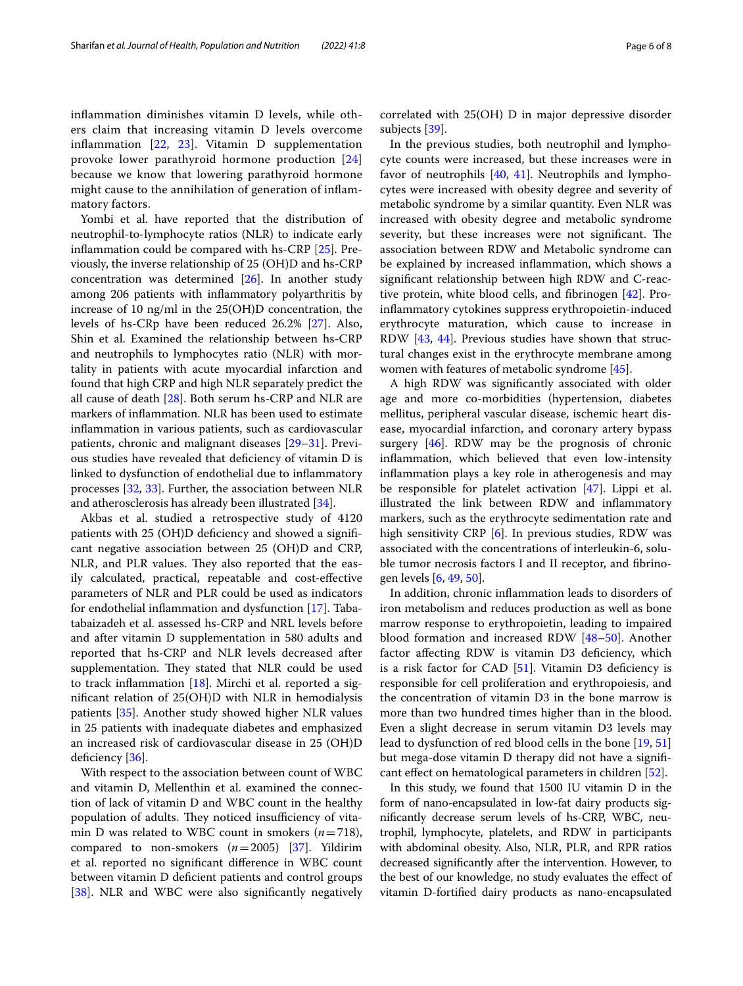infammation diminishes vitamin D levels, while others claim that increasing vitamin D levels overcome infammation [\[22,](#page-6-19) [23\]](#page-7-0). Vitamin D supplementation provoke lower parathyroid hormone production [\[24](#page-7-1)] because we know that lowering parathyroid hormone might cause to the annihilation of generation of infammatory factors.

Yombi et al. have reported that the distribution of neutrophil-to-lymphocyte ratios (NLR) to indicate early infammation could be compared with hs-CRP [\[25](#page-7-2)]. Previously, the inverse relationship of 25 (OH)D and hs-CRP concentration was determined [\[26](#page-7-3)]. In another study among 206 patients with infammatory polyarthritis by increase of 10 ng/ml in the 25(OH)D concentration, the levels of hs-CRp have been reduced 26.2% [[27\]](#page-7-4). Also, Shin et al. Examined the relationship between hs-CRP and neutrophils to lymphocytes ratio (NLR) with mortality in patients with acute myocardial infarction and found that high CRP and high NLR separately predict the all cause of death [\[28](#page-7-5)]. Both serum hs-CRP and NLR are markers of infammation. NLR has been used to estimate infammation in various patients, such as cardiovascular patients, chronic and malignant diseases [[29](#page-7-6)[–31](#page-7-7)]. Previous studies have revealed that defciency of vitamin D is linked to dysfunction of endothelial due to infammatory processes [[32,](#page-7-8) [33](#page-7-9)]. Further, the association between NLR and atherosclerosis has already been illustrated [\[34\]](#page-7-10).

Akbas et al. studied a retrospective study of 4120 patients with 25 (OH)D defciency and showed a signifcant negative association between 25 (OH)D and CRP, NLR, and PLR values. They also reported that the easily calculated, practical, repeatable and cost-efective parameters of NLR and PLR could be used as indicators for endothelial infammation and dysfunction [\[17](#page-6-15)]. Tabatabaizadeh et al. assessed hs-CRP and NRL levels before and after vitamin D supplementation in 580 adults and reported that hs-CRP and NLR levels decreased after supplementation. They stated that NLR could be used to track infammation [[18\]](#page-6-16). Mirchi et al. reported a signifcant relation of 25(OH)D with NLR in hemodialysis patients [[35\]](#page-7-11). Another study showed higher NLR values in 25 patients with inadequate diabetes and emphasized an increased risk of cardiovascular disease in 25 (OH)D deficiency  $[36]$  $[36]$  $[36]$ .

With respect to the association between count of WBC and vitamin D, Mellenthin et al. examined the connection of lack of vitamin D and WBC count in the healthy population of adults. They noticed insufficiency of vitamin D was related to WBC count in smokers (*n*=718), compared to non-smokers (*n*=2005) [[37](#page-7-13)]. Yildirim et al. reported no signifcant diference in WBC count between vitamin D defcient patients and control groups [[38\]](#page-7-14). NLR and WBC were also significantly negatively correlated with 25(OH) D in major depressive disorder subjects [\[39](#page-7-15)].

In the previous studies, both neutrophil and lymphocyte counts were increased, but these increases were in favor of neutrophils [\[40,](#page-7-16) [41\]](#page-7-17). Neutrophils and lymphocytes were increased with obesity degree and severity of metabolic syndrome by a similar quantity. Even NLR was increased with obesity degree and metabolic syndrome severity, but these increases were not significant. The association between RDW and Metabolic syndrome can be explained by increased infammation, which shows a signifcant relationship between high RDW and C-reactive protein, white blood cells, and fbrinogen [\[42\]](#page-7-18). Proinfammatory cytokines suppress erythropoietin-induced erythrocyte maturation, which cause to increase in RDW [\[43,](#page-7-19) [44\]](#page-7-20). Previous studies have shown that structural changes exist in the erythrocyte membrane among women with features of metabolic syndrome [[45\]](#page-7-21).

A high RDW was signifcantly associated with older age and more co-morbidities (hypertension, diabetes mellitus, peripheral vascular disease, ischemic heart disease, myocardial infarction, and coronary artery bypass surgery [[46\]](#page-7-22). RDW may be the prognosis of chronic infammation, which believed that even low-intensity infammation plays a key role in atherogenesis and may be responsible for platelet activation [[47](#page-7-23)]. Lippi et al. illustrated the link between RDW and infammatory markers, such as the erythrocyte sedimentation rate and high sensitivity CRP [[6\]](#page-6-4). In previous studies, RDW was associated with the concentrations of interleukin-6, soluble tumor necrosis factors I and II receptor, and fbrinogen levels [[6,](#page-6-4) [49,](#page-7-24) [50](#page-7-25)].

In addition, chronic infammation leads to disorders of iron metabolism and reduces production as well as bone marrow response to erythropoietin, leading to impaired blood formation and increased RDW [\[48](#page-7-26)[–50\]](#page-7-25). Another factor afecting RDW is vitamin D3 defciency, which is a risk factor for CAD [[51](#page-7-27)]. Vitamin D3 defciency is responsible for cell proliferation and erythropoiesis, and the concentration of vitamin D3 in the bone marrow is more than two hundred times higher than in the blood. Even a slight decrease in serum vitamin D3 levels may lead to dysfunction of red blood cells in the bone [[19,](#page-6-17) [51](#page-7-27)] but mega-dose vitamin D therapy did not have a signifcant efect on hematological parameters in children [\[52\]](#page-7-28).

In this study, we found that 1500 IU vitamin D in the form of nano-encapsulated in low-fat dairy products signifcantly decrease serum levels of hs-CRP, WBC, neutrophil, lymphocyte, platelets, and RDW in participants with abdominal obesity. Also, NLR, PLR, and RPR ratios decreased signifcantly after the intervention. However, to the best of our knowledge, no study evaluates the efect of vitamin D-fortifed dairy products as nano-encapsulated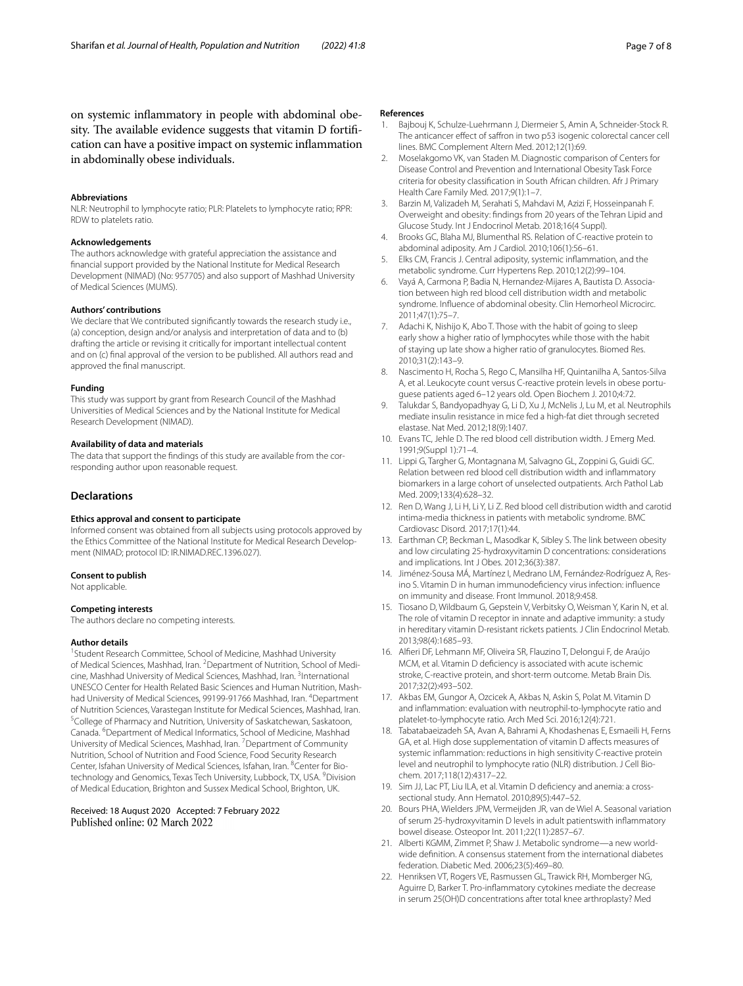on systemic infammatory in people with abdominal obesity. The available evidence suggests that vitamin D fortification can have a positive impact on systemic infammation in abdominally obese individuals.

#### **Abbreviations**

NLR: Neutrophil to lymphocyte ratio; PLR: Platelets to lymphocyte ratio; RPR: RDW to platelets ratio.

#### **Acknowledgements**

The authors acknowledge with grateful appreciation the assistance and fnancial support provided by the National Institute for Medical Research Development (NIMAD) (No: 957705) and also support of Mashhad University of Medical Sciences (MUMS).

#### **Authors' contributions**

We declare that We contributed signifcantly towards the research study i.e., (a) conception, design and/or analysis and interpretation of data and to (b) drafting the article or revising it critically for important intellectual content and on (c) fnal approval of the version to be published. All authors read and approved the fnal manuscript.

#### **Funding**

This study was support by grant from Research Council of the Mashhad Universities of Medical Sciences and by the National Institute for Medical Research Development (NIMAD).

#### **Availability of data and materials**

The data that support the fndings of this study are available from the corresponding author upon reasonable request.

#### **Declarations**

#### **Ethics approval and consent to participate**

Informed consent was obtained from all subjects using protocols approved by the Ethics Committee of the National Institute for Medical Research Development (NIMAD; protocol ID: IR.NIMAD.REC.1396.027).

#### **Consent to publish**

Not applicable.

#### **Competing interests**

The authors declare no competing interests.

#### **Author details**

<sup>1</sup> Student Research Committee, School of Medicine, Mashhad University of Medical Sciences, Mashhad, Iran. <sup>2</sup> Department of Nutrition, School of Medicine, Mashhad University of Medical Sciences, Mashhad, Iran. <sup>3</sup>International UNESCO Center for Health Related Basic Sciences and Human Nutrition, Mashhad University of Medical Sciences, 99199-91766 Mashhad, Iran. <sup>4</sup>Department of Nutrition Sciences, Varastegan Institute for Medical Sciences, Mashhad, Iran. 5 <sup>5</sup>College of Pharmacy and Nutrition, University of Saskatchewan, Saskatoon, Canada. <sup>6</sup>Department of Medical Informatics, School of Medicine, Mashhad University of Medical Sciences, Mashhad, Iran. <sup>7</sup> Department of Community Nutrition, School of Nutrition and Food Science, Food Security Research Center, Isfahan University of Medical Sciences, Isfahan, Iran. <sup>8</sup>Center for Biotechnology and Genomics, Texas Tech University, Lubbock, TX, USA. <sup>9</sup>Division of Medical Education, Brighton and Sussex Medical School, Brighton, UK.

# Received: 18 August 2020 Accepted: 7 February 2022

#### **References**

- <span id="page-6-0"></span>1. Bajbouj K, Schulze-Luehrmann J, Diermeier S, Amin A, Schneider-Stock R. The anticancer effect of saffron in two p53 isogenic colorectal cancer cell lines. BMC Complement Altern Med. 2012;12(1):69.
- <span id="page-6-1"></span>2. Moselakgomo VK, van Staden M. Diagnostic comparison of Centers for Disease Control and Prevention and International Obesity Task Force criteria for obesity classifcation in South African children. Afr J Primary Health Care Family Med. 2017;9(1):1–7.
- <span id="page-6-2"></span>3. Barzin M, Valizadeh M, Serahati S, Mahdavi M, Azizi F, Hosseinpanah F. Overweight and obesity: fndings from 20 years of the Tehran Lipid and Glucose Study. Int J Endocrinol Metab. 2018;16(4 Suppl).
- <span id="page-6-3"></span>4. Brooks GC, Blaha MJ, Blumenthal RS. Relation of C-reactive protein to abdominal adiposity. Am J Cardiol. 2010;106(1):56–61.
- 5. Elks CM, Francis J. Central adiposity, systemic infammation, and the metabolic syndrome. Curr Hypertens Rep. 2010;12(2):99–104.
- <span id="page-6-4"></span>6. Vayá A, Carmona P, Badia N, Hernandez-Mijares A, Bautista D. Association between high red blood cell distribution width and metabolic syndrome. Infuence of abdominal obesity. Clin Hemorheol Microcirc. 2011;47(1):75–7.
- <span id="page-6-5"></span>7. Adachi K, Nishijo K, Abo T. Those with the habit of going to sleep early show a higher ratio of lymphocytes while those with the habit of staying up late show a higher ratio of granulocytes. Biomed Res. 2010;31(2):143–9.
- <span id="page-6-6"></span>8. Nascimento H, Rocha S, Rego C, Mansilha HF, Quintanilha A, Santos-Silva A, et al. Leukocyte count versus C-reactive protein levels in obese portuguese patients aged 6–12 years old. Open Biochem J. 2010;4:72.
- <span id="page-6-7"></span>9. Talukdar S, Bandyopadhyay G, Li D, Xu J, McNelis J, Lu M, et al. Neutrophils mediate insulin resistance in mice fed a high-fat diet through secreted elastase. Nat Med. 2012;18(9):1407.
- <span id="page-6-8"></span>10. Evans TC, Jehle D. The red blood cell distribution width. J Emerg Med. 1991;9(Suppl 1):71–4.
- <span id="page-6-9"></span>11. Lippi G, Targher G, Montagnana M, Salvagno GL, Zoppini G, Guidi GC. Relation between red blood cell distribution width and infammatory biomarkers in a large cohort of unselected outpatients. Arch Pathol Lab Med. 2009;133(4):628–32.
- <span id="page-6-10"></span>12. Ren D, Wang J, Li H, Li Y, Li Z. Red blood cell distribution width and carotid intima-media thickness in patients with metabolic syndrome. BMC Cardiovasc Disord. 2017;17(1):44.
- <span id="page-6-11"></span>13. Earthman CP, Beckman L, Masodkar K, Sibley S. The link between obesity and low circulating 25-hydroxyvitamin D concentrations: considerations and implications. Int J Obes. 2012;36(3):387.
- <span id="page-6-12"></span>14. Jiménez-Sousa MÁ, Martínez I, Medrano LM, Fernández-Rodríguez A, Resino S. Vitamin D in human immunodefciency virus infection: infuence on immunity and disease. Front Immunol. 2018;9:458.
- <span id="page-6-13"></span>15. Tiosano D, Wildbaum G, Gepstein V, Verbitsky O, Weisman Y, Karin N, et al. The role of vitamin D receptor in innate and adaptive immunity: a study in hereditary vitamin D-resistant rickets patients. J Clin Endocrinol Metab. 2013;98(4):1685–93.
- <span id="page-6-14"></span>16. Alferi DF, Lehmann MF, Oliveira SR, Flauzino T, Delongui F, de Araújo MCM, et al. Vitamin D defciency is associated with acute ischemic stroke, C-reactive protein, and short-term outcome. Metab Brain Dis. 2017;32(2):493–502.
- <span id="page-6-15"></span>17. Akbas EM, Gungor A, Ozcicek A, Akbas N, Askin S, Polat M. Vitamin D and infammation: evaluation with neutrophil-to-lymphocyte ratio and platelet-to-lymphocyte ratio. Arch Med Sci. 2016;12(4):721.
- <span id="page-6-16"></span>18. Tabatabaeizadeh SA, Avan A, Bahrami A, Khodashenas E, Esmaeili H, Ferns GA, et al. High dose supplementation of vitamin D afects measures of systemic infammation: reductions in high sensitivity C-reactive protein level and neutrophil to lymphocyte ratio (NLR) distribution. J Cell Biochem. 2017;118(12):4317–22.
- <span id="page-6-17"></span>19. Sim JJ, Lac PT, Liu ILA, et al. Vitamin D defciency and anemia: a crosssectional study. Ann Hematol. 2010;89(5):447–52.
- <span id="page-6-18"></span>20. Bours PHA, Wielders JPM, Vermeijden JR, van de Wiel A. Seasonal variation of serum 25-hydroxyvitamin D levels in adult patientswith infammatory bowel disease. Osteopor Int. 2011;22(11):2857–67.
- <span id="page-6-20"></span>21. Alberti KGMM, Zimmet P, Shaw J. Metabolic syndrome—a new worldwide defnition. A consensus statement from the international diabetes federation. Diabetic Med. 2006;23(5):469–80.
- <span id="page-6-19"></span>22. Henriksen VT, Rogers VE, Rasmussen GL, Trawick RH, Momberger NG, Aguirre D, Barker T. Pro-infammatory cytokines mediate the decrease in serum 25(OH)D concentrations after total knee arthroplasty? Med